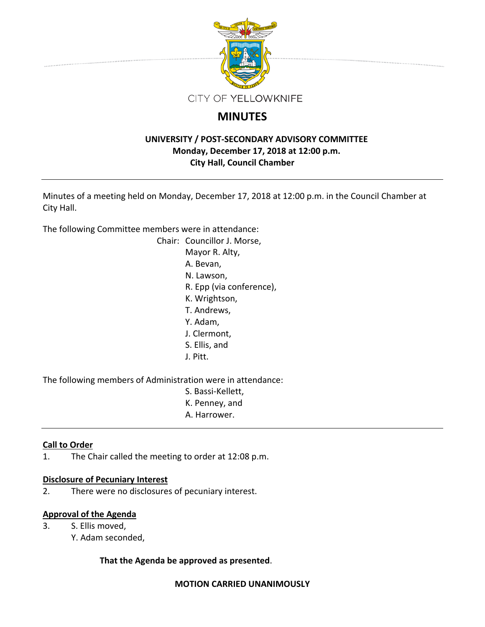

# **MINUTES**

## **UNIVERSITY / POST‐SECONDARY ADVISORY COMMITTEE Monday, December 17, 2018 at 12:00 p.m. City Hall, Council Chamber**

Minutes of a meeting held on Monday, December 17, 2018 at 12:00 p.m. in the Council Chamber at City Hall.

The following Committee members were in attendance:

Chair: Councillor J. Morse, Mayor R. Alty, A. Bevan, N. Lawson, R. Epp (via conference), K. Wrightson, T. Andrews, Y. Adam, J. Clermont, S. Ellis, and J. Pitt.

The following members of Administration were in attendance:

- S. Bassi‐Kellett,
- K. Penney, and
- A. Harrower.

# **Call to Order**

1. The Chair called the meeting to order at 12:08 p.m.

## **Disclosure of Pecuniary Interest**

2. There were no disclosures of pecuniary interest.

## **Approval of the Agenda**

- 3. S. Ellis moved,
	- Y. Adam seconded,

**That the Agenda be approved as presented**.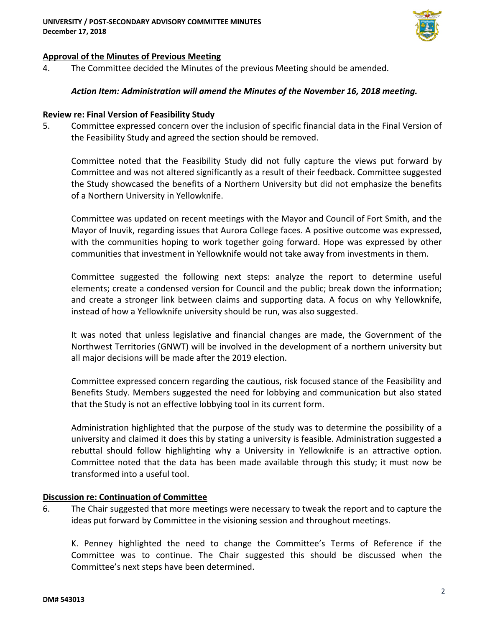

#### **Approval of the Minutes of Previous Meeting**

4. The Committee decided the Minutes of the previous Meeting should be amended.

#### *Action Item: Administration will amend the Minutes of the November 16, 2018 meeting.*

#### **Review re: Final Version of Feasibility Study**

5. Committee expressed concern over the inclusion of specific financial data in the Final Version of the Feasibility Study and agreed the section should be removed.

Committee noted that the Feasibility Study did not fully capture the views put forward by Committee and was not altered significantly as a result of their feedback. Committee suggested the Study showcased the benefits of a Northern University but did not emphasize the benefits of a Northern University in Yellowknife.

Committee was updated on recent meetings with the Mayor and Council of Fort Smith, and the Mayor of Inuvik, regarding issues that Aurora College faces. A positive outcome was expressed, with the communities hoping to work together going forward. Hope was expressed by other communities that investment in Yellowknife would not take away from investments in them.

Committee suggested the following next steps: analyze the report to determine useful elements; create a condensed version for Council and the public; break down the information; and create a stronger link between claims and supporting data. A focus on why Yellowknife, instead of how a Yellowknife university should be run, was also suggested.

It was noted that unless legislative and financial changes are made, the Government of the Northwest Territories (GNWT) will be involved in the development of a northern university but all major decisions will be made after the 2019 election.

Committee expressed concern regarding the cautious, risk focused stance of the Feasibility and Benefits Study. Members suggested the need for lobbying and communication but also stated that the Study is not an effective lobbying tool in its current form.

Administration highlighted that the purpose of the study was to determine the possibility of a university and claimed it does this by stating a university is feasible. Administration suggested a rebuttal should follow highlighting why a University in Yellowknife is an attractive option. Committee noted that the data has been made available through this study; it must now be transformed into a useful tool.

#### **Discussion re: Continuation of Committee**

6. The Chair suggested that more meetings were necessary to tweak the report and to capture the ideas put forward by Committee in the visioning session and throughout meetings.

K. Penney highlighted the need to change the Committee's Terms of Reference if the Committee was to continue. The Chair suggested this should be discussed when the Committee's next steps have been determined.